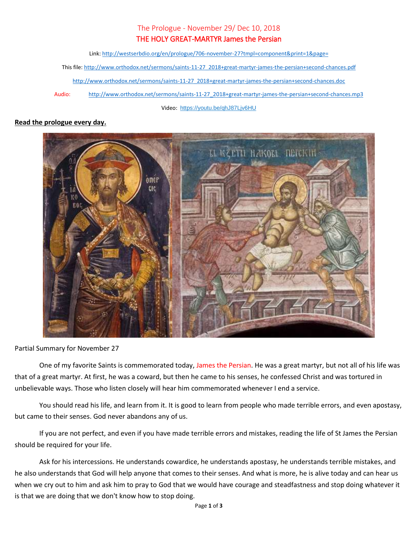## The Prologue - November 29/ Dec 10, 2018

## THE HOLY GREAT-MARTYR James the Persian

Link:<http://westserbdio.org/en/prologue/706-november-27?tmpl=component&print=1&page=>

This file[: http://www.orthodox.net/sermons/saints-11-27\\_2018+great-martyr-james-the-persian+second-chances.pdf](https://www.orthodox.net//sermons/saints-11-27_2018+great-martyr-james-the-persian+second-chances.pdf)

[http://www.orthodox.net/sermons/saints-11-27\\_2018+great-martyr-james-the-persian+second-chances.doc](https://www.orthodox.net//sermons/saints-11-27_2018+great-martyr-james-the-persian+second-chances.doc)

Audio: [http://www.orthodox.net/sermons/saints-11-27\\_2018+great-martyr-james-the-persian+second-chances.mp3](https://www.orthodox.net//sermons/saints-11-27_2018+great-martyr-james-the-persian+second-chances.mp3)

Video: <https://youtu.be/qhJ87Ljv6HU>

## **Read the prologue every day.**



Partial Summary for November 27

One of my favorite Saints is commemorated today, James the Persian. He was a great martyr, but not all of his life was that of a great martyr. At first, he was a coward, but then he came to his senses, he confessed Christ and was tortured in unbelievable ways. Those who listen closely will hear him commemorated whenever I end a service.

You should read his life, and learn from it. It is good to learn from people who made terrible errors, and even apostasy, but came to their senses. God never abandons any of us.

If you are not perfect, and even if you have made terrible errors and mistakes, reading the life of St James the Persian should be required for your life.

Ask for his intercessions. He understands cowardice, he understands apostasy, he understands terrible mistakes, and he also understands that God will help anyone that comes to their senses. And what is more, he is alive today and can hear us when we cry out to him and ask him to pray to God that we would have courage and steadfastness and stop doing whatever it is that we are doing that we don't know how to stop doing.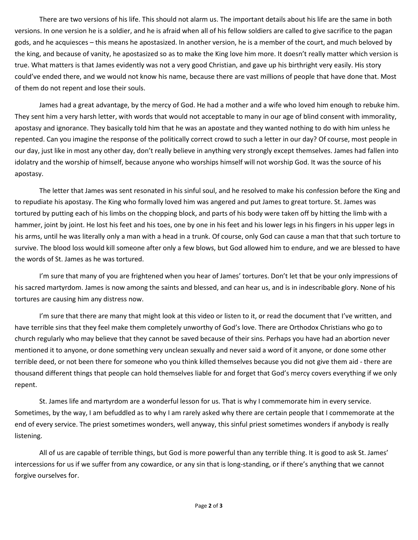There are two versions of his life. This should not alarm us. The important details about his life are the same in both versions. In one version he is a soldier, and he is afraid when all of his fellow soldiers are called to give sacrifice to the pagan gods, and he acquiesces – this means he apostasized. In another version, he is a member of the court, and much beloved by the king, and because of vanity, he apostasized so as to make the King love him more. It doesn't really matter which version is true. What matters is that James evidently was not a very good Christian, and gave up his birthright very easily. His story could've ended there, and we would not know his name, because there are vast millions of people that have done that. Most of them do not repent and lose their souls.

James had a great advantage, by the mercy of God. He had a mother and a wife who loved him enough to rebuke him. They sent him a very harsh letter, with words that would not acceptable to many in our age of blind consent with immorality, apostasy and ignorance. They basically told him that he was an apostate and they wanted nothing to do with him unless he repented. Can you imagine the response of the politically correct crowd to such a letter in our day? Of course, most people in our day, just like in most any other day, don't really believe in anything very strongly except themselves. James had fallen into idolatry and the worship of himself, because anyone who worships himself will not worship God. It was the source of his apostasy.

The letter that James was sent resonated in his sinful soul, and he resolved to make his confession before the King and to repudiate his apostasy. The King who formally loved him was angered and put James to great torture. St. James was tortured by putting each of his limbs on the chopping block, and parts of his body were taken off by hitting the limb with a hammer, joint by joint. He lost his feet and his toes, one by one in his feet and his lower legs in his fingers in his upper legs in his arms, until he was literally only a man with a head in a trunk. Of course, only God can cause a man that that such torture to survive. The blood loss would kill someone after only a few blows, but God allowed him to endure, and we are blessed to have the words of St. James as he was tortured.

I'm sure that many of you are frightened when you hear of James' tortures. Don't let that be your only impressions of his sacred martyrdom. James is now among the saints and blessed, and can hear us, and is in indescribable glory. None of his tortures are causing him any distress now.

I'm sure that there are many that might look at this video or listen to it, or read the document that I've written, and have terrible sins that they feel make them completely unworthy of God's love. There are Orthodox Christians who go to church regularly who may believe that they cannot be saved because of their sins. Perhaps you have had an abortion never mentioned it to anyone, or done something very unclean sexually and never said a word of it anyone, or done some other terrible deed, or not been there for someone who you think killed themselves because you did not give them aid - there are thousand different things that people can hold themselves liable for and forget that God's mercy covers everything if we only repent.

St. James life and martyrdom are a wonderful lesson for us. That is why I commemorate him in every service. Sometimes, by the way, I am befuddled as to why I am rarely asked why there are certain people that I commemorate at the end of every service. The priest sometimes wonders, well anyway, this sinful priest sometimes wonders if anybody is really listening.

All of us are capable of terrible things, but God is more powerful than any terrible thing. It is good to ask St. James' intercessions for us if we suffer from any cowardice, or any sin that is long-standing, or if there's anything that we cannot forgive ourselves for.